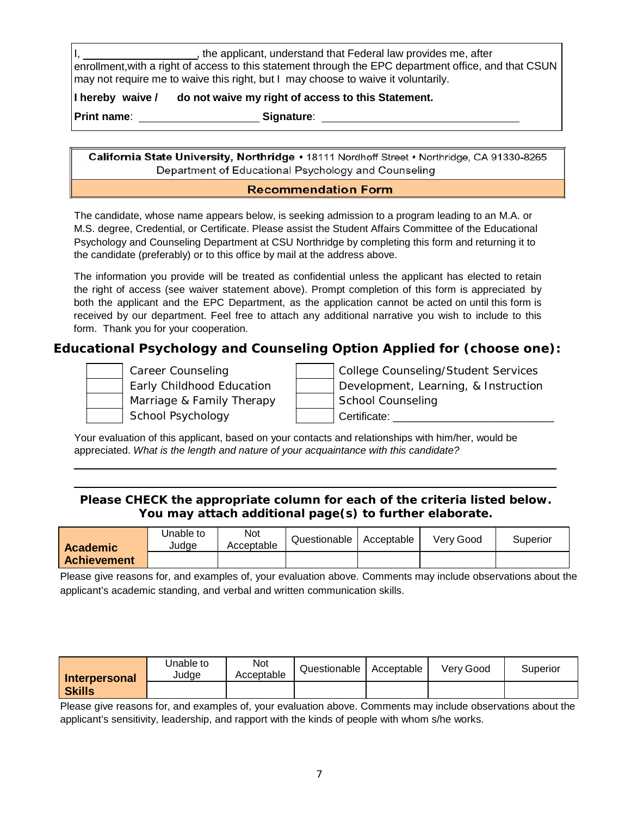I, the applicant, understand that Federal law provides me, after enrollment,with a right of access to this statement through the EPC department office, and that CSUN may not require me to waive this right, but I may choose to waive it voluntarily.

**I hereby waive / do not waive my right of access to this Statement.**

**Print name**: **Signature**:

California State University, Northridge · 18111 Nordhoff Street · Northridge, CA 91330-8265 Department of Educational Psychology and Counseling

## **Recommendation Form**

The candidate, whose name appears below, is seeking admission to a program leading to an M.A. or M.S. degree, Credential, or Certificate. Please assist the Student Affairs Committee of the Educational Psychology and Counseling Department at CSU Northridge by completing this form and returning it to the candidate (preferably) or to this office by mail at the address above.

The information you provide will be treated as confidential unless the applicant has elected to retain the right of access (see waiver statement above). Prompt completion of this form is appreciated by both the applicant and the EPC Department, as the application cannot be acted on until this form is received by our department. Feel free to attach any additional narrative you wish to include to this form. Thank you for your cooperation.

## **Educational Psychology and Counseling Option Applied for (choose one):**



Career Counseling Early Childhood Education

| College Counseling/Student Services  |
|--------------------------------------|
| Development, Learning, & Instruction |
| School Counseling                    |
| Certificate:                         |
|                                      |

Your evaluation of this applicant, based on your contacts and relationships with him/her, would be appreciated. *What is the length and nature of your acquaintance with this candidate?*

## **Please CHECK the appropriate column for each of the criteria listed below. You may attach additional page(s) to further elaborate.**

| <b>Academic</b>    | Jnable to<br>Judae | Not<br>Acceptable | Questionable | Acceptable | Verv Good | Superior |
|--------------------|--------------------|-------------------|--------------|------------|-----------|----------|
| <b>Achievement</b> |                    |                   |              |            |           |          |

Please give reasons for, and examples of, your evaluation above. Comments may include observations about the applicant's academic standing, and verbal and written communication skills.

| <b>Interpersonal</b> | Jnable to<br>Judge | Not<br>Acceptable | Questionable | Acceptable | Verv Good | Superior |
|----------------------|--------------------|-------------------|--------------|------------|-----------|----------|
| <b>Skills</b>        |                    |                   |              |            |           |          |

Please give reasons for, and examples of, your evaluation above. Comments may include observations about the applicant's sensitivity, leadership, and rapport with the kinds of people with whom s/he works.